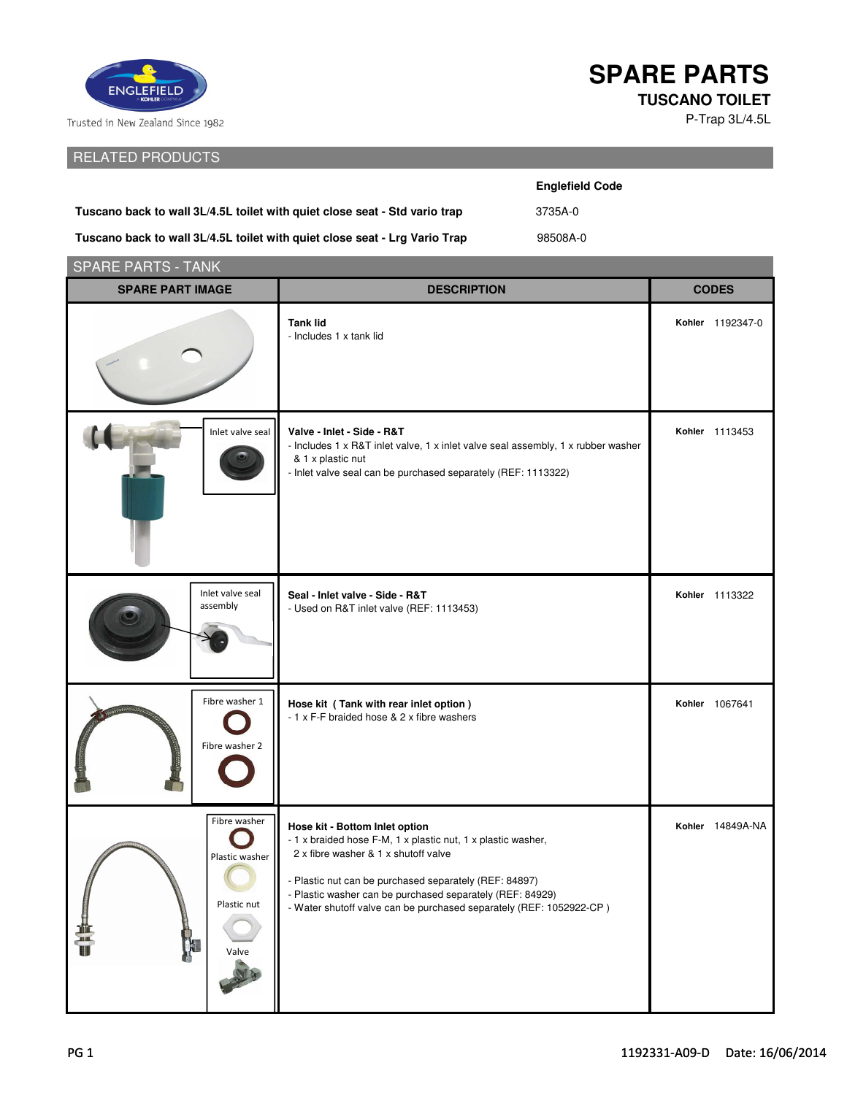

Trusted in New Zealand Since 1982

## RELATED PRODUCTS

## **SPARE PARTS TUSCANO TOILET**

P-Trap 3L/4.5L

|                                                                            | <b>Englefield Code</b> |  |
|----------------------------------------------------------------------------|------------------------|--|
| Tuscano back to wall 3L/4.5L toilet with quiet close seat - Std vario trap | 3735A-0                |  |
| Tuscano back to wall 3L/4.5L toilet with quiet close seat - Lrg Vario Trap | 98508A-0               |  |

| <b>SPARE PARTS - TANK</b>                              |                                                                                                                                                                                                                                                                                                                                      |                  |  |  |
|--------------------------------------------------------|--------------------------------------------------------------------------------------------------------------------------------------------------------------------------------------------------------------------------------------------------------------------------------------------------------------------------------------|------------------|--|--|
| <b>SPARE PART IMAGE</b>                                | <b>DESCRIPTION</b>                                                                                                                                                                                                                                                                                                                   | <b>CODES</b>     |  |  |
|                                                        | <b>Tank lid</b><br>- Includes 1 x tank lid                                                                                                                                                                                                                                                                                           | Kohler 1192347-0 |  |  |
| Inlet valve seal                                       | Valve - Inlet - Side - R&T<br>- Includes 1 x R&T inlet valve, 1 x inlet valve seal assembly, 1 x rubber washer<br>& 1 x plastic nut<br>- Inlet valve seal can be purchased separately (REF: 1113322)                                                                                                                                 | Kohler 1113453   |  |  |
| Inlet valve seal<br>assembly                           | Seal - Inlet valve - Side - R&T<br>- Used on R&T inlet valve (REF: 1113453)                                                                                                                                                                                                                                                          | Kohler 1113322   |  |  |
| Fibre washer 1<br>Fibre washer 2                       | Hose kit (Tank with rear inlet option)<br>- 1 x F-F braided hose & 2 x fibre washers                                                                                                                                                                                                                                                 | Kohler 1067641   |  |  |
| Fibre washer<br>Plastic washer<br>Plastic nut<br>Valve | Hose kit - Bottom Inlet option<br>- 1 x braided hose F-M, 1 x plastic nut, 1 x plastic washer,<br>2 x fibre washer & 1 x shutoff valve<br>- Plastic nut can be purchased separately (REF: 84897)<br>- Plastic washer can be purchased separately (REF: 84929)<br>- Water shutoff valve can be purchased separately (REF: 1052922-CP) | Kohler 14849A-NA |  |  |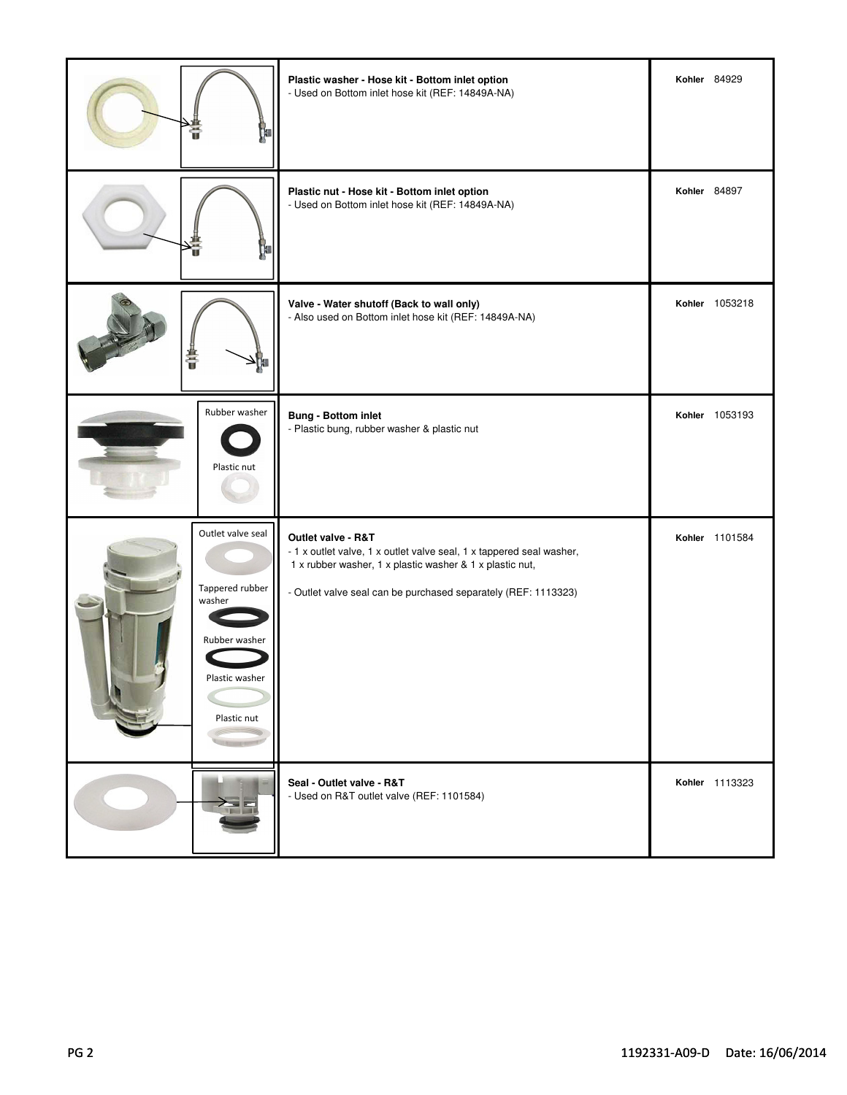|                                                                                                 | Plastic washer - Hose kit - Bottom inlet option<br>- Used on Bottom inlet hose kit (REF: 14849A-NA)                                                                                                                      | Kohler 84929   |
|-------------------------------------------------------------------------------------------------|--------------------------------------------------------------------------------------------------------------------------------------------------------------------------------------------------------------------------|----------------|
|                                                                                                 | Plastic nut - Hose kit - Bottom inlet option<br>- Used on Bottom inlet hose kit (REF: 14849A-NA)                                                                                                                         | Kohler 84897   |
| Ő                                                                                               | Valve - Water shutoff (Back to wall only)<br>- Also used on Bottom inlet hose kit (REF: 14849A-NA)                                                                                                                       | Kohler 1053218 |
| Rubber washer<br>Plastic nut                                                                    | <b>Bung - Bottom inlet</b><br>- Plastic bung, rubber washer & plastic nut                                                                                                                                                | Kohler 1053193 |
| Outlet valve seal<br>Tappered rubber<br>washer<br>Rubber washer<br>PIASUL WASHEI<br>Plastic nut | Outlet valve - R&T<br>- 1 x outlet valve, 1 x outlet valve seal, 1 x tappered seal washer,<br>1 x rubber washer, 1 x plastic washer & 1 x plastic nut,<br>- Outlet valve seal can be purchased separately (REF: 1113323) | Kohler 1101584 |
| ≻≡                                                                                              | Seal - Outlet valve - R&T<br>- Used on R&T outlet valve (REF: 1101584)                                                                                                                                                   | Kohler 1113323 |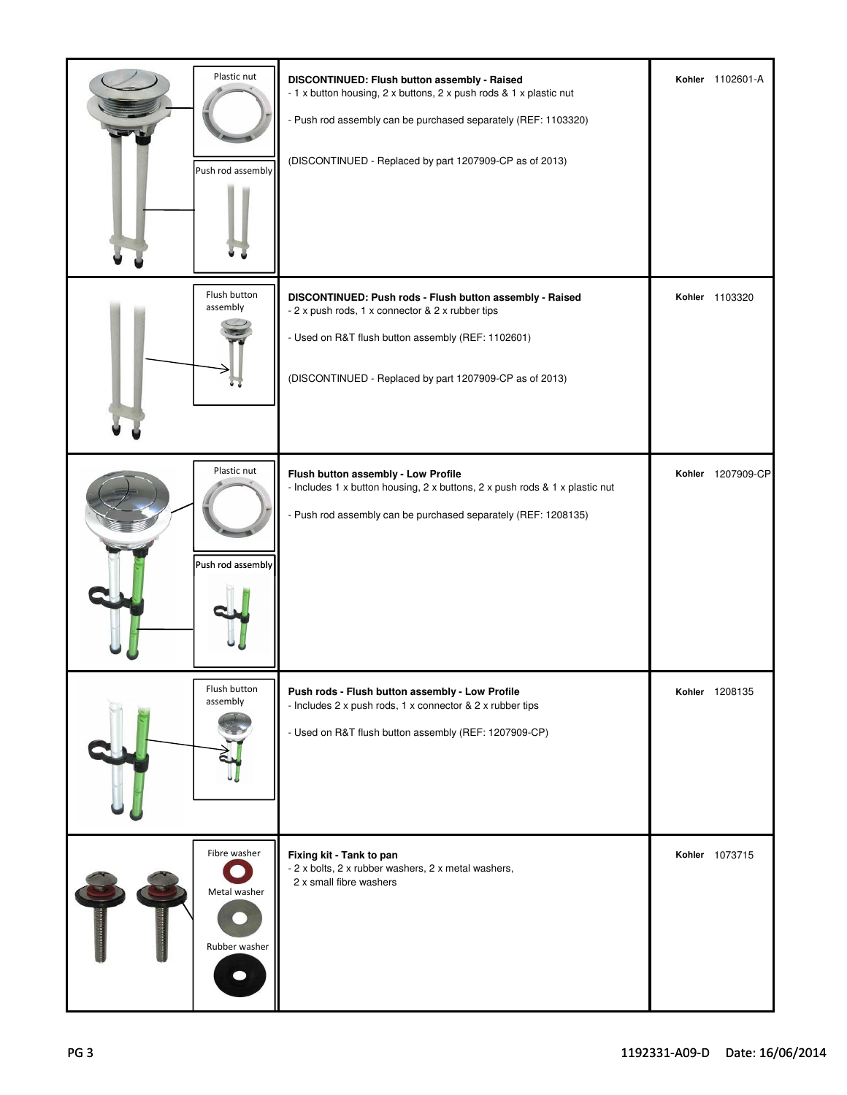| Plastic nut<br>Push rod assembly              | DISCONTINUED: Flush button assembly - Raised<br>- 1 x button housing, 2 x buttons, 2 x push rods & 1 x plastic nut<br>- Push rod assembly can be purchased separately (REF: 1103320)<br>(DISCONTINUED - Replaced by part 1207909-CP as of 2013) | Kohler 1102601-A  |
|-----------------------------------------------|-------------------------------------------------------------------------------------------------------------------------------------------------------------------------------------------------------------------------------------------------|-------------------|
| Flush button<br>assembly                      | DISCONTINUED: Push rods - Flush button assembly - Raised<br>- 2 x push rods, 1 x connector & 2 x rubber tips<br>- Used on R&T flush button assembly (REF: 1102601)<br>(DISCONTINUED - Replaced by part 1207909-CP as of 2013)                   | Kohler 1103320    |
| Plastic nut<br>Push rod assembly              | Flush button assembly - Low Profile<br>- Includes 1 x button housing, 2 x buttons, 2 x push rods & 1 x plastic nut<br>- Push rod assembly can be purchased separately (REF: 1208135)                                                            | Kohler 1207909-CP |
| Flush button<br>assembly                      | Push rods - Flush button assembly - Low Profile<br>- Includes 2 x push rods, 1 x connector & 2 x rubber tips<br>- Used on R&T flush button assembly (REF: 1207909-CP)                                                                           | Kohler 1208135    |
| Fibre washer<br>Metal washer<br>Rubber washer | Fixing kit - Tank to pan<br>- 2 x bolts, 2 x rubber washers, 2 x metal washers,<br>2 x small fibre washers                                                                                                                                      | Kohler 1073715    |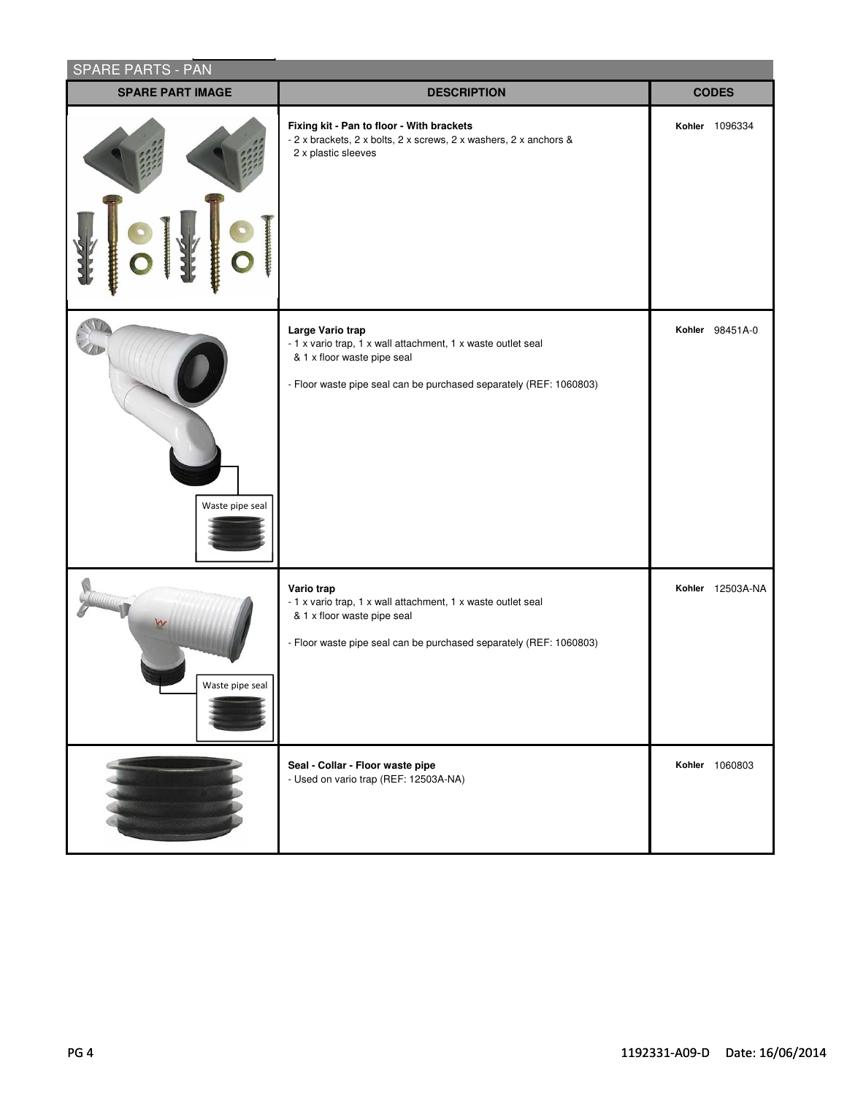| <b>SPARE PARTS - PAN</b> |                                                                                                                                                                                       |                  |  |
|--------------------------|---------------------------------------------------------------------------------------------------------------------------------------------------------------------------------------|------------------|--|
| <b>SPARE PART IMAGE</b>  | <b>DESCRIPTION</b>                                                                                                                                                                    | <b>CODES</b>     |  |
|                          | Fixing kit - Pan to floor - With brackets<br>- 2 x brackets, 2 x bolts, 2 x screws, 2 x washers, 2 x anchors &<br>2 x plastic sleeves                                                 | Kohler 1096334   |  |
| Waste pipe seal          | Large Vario trap<br>- 1 x vario trap, 1 x wall attachment, 1 x waste outlet seal<br>& 1 x floor waste pipe seal<br>- Floor waste pipe seal can be purchased separately (REF: 1060803) | Kohler 98451A-0  |  |
| Waste pipe seal          | Vario trap<br>- 1 x vario trap, 1 x wall attachment, 1 x waste outlet seal<br>& 1 x floor waste pipe seal<br>- Floor waste pipe seal can be purchased separately (REF: 1060803)       | Kohler 12503A-NA |  |
|                          | Seal - Collar - Floor waste pipe<br>- Used on vario trap (REF: 12503A-NA)                                                                                                             | Kohler 1060803   |  |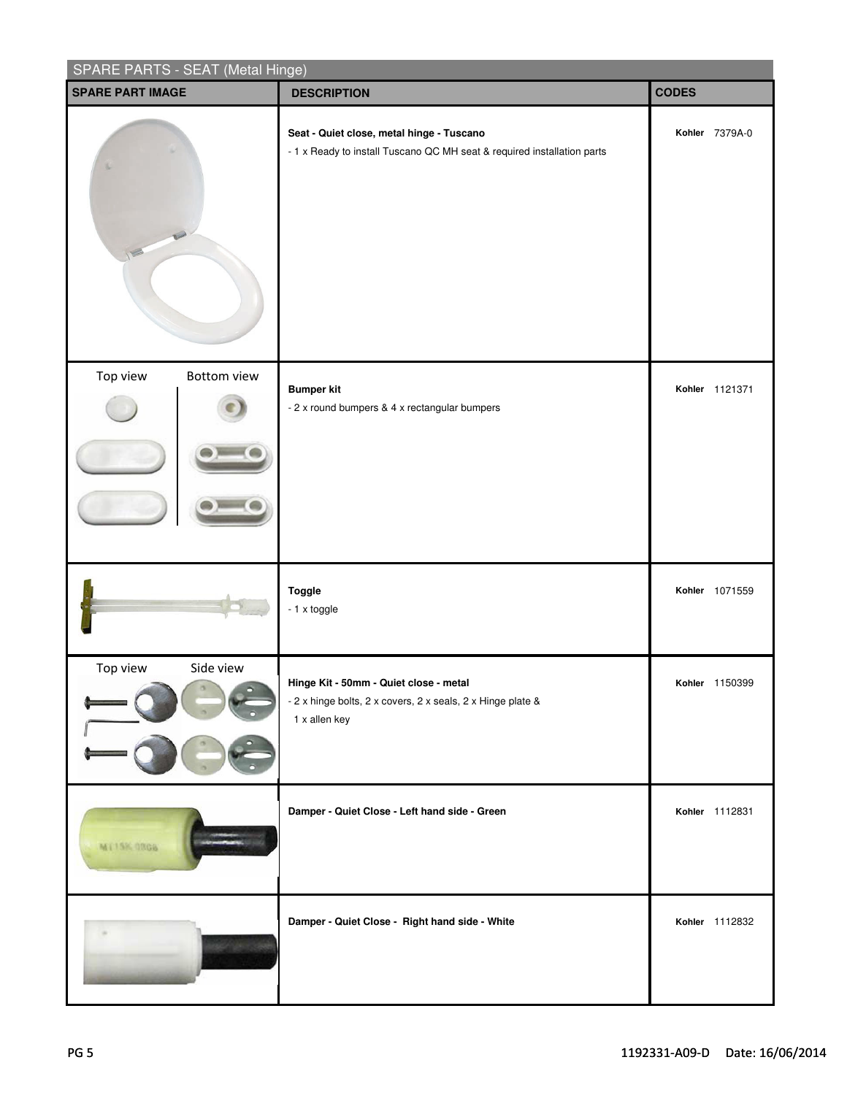| SPARE PARTS - SEAT (Metal Hinge) |                                                                                                                        |                       |  |
|----------------------------------|------------------------------------------------------------------------------------------------------------------------|-----------------------|--|
| <b>SPARE PART IMAGE</b>          | <b>DESCRIPTION</b>                                                                                                     | <b>CODES</b>          |  |
| I                                | Seat - Quiet close, metal hinge - Tuscano<br>- 1 x Ready to install Tuscano QC MH seat & required installation parts   | Kohler 7379A-0        |  |
| Top view<br><b>Bottom view</b>   | <b>Bumper kit</b><br>- 2 x round bumpers & 4 x rectangular bumpers                                                     | Kohler 1121371        |  |
|                                  | Toggle<br>- 1 x toggle                                                                                                 | Kohler 1071559        |  |
| Top view<br>Side view            | Hinge Kit - 50mm - Quiet close - metal<br>- 2 x hinge bolts, 2 x covers, 2 x seals, 2 x Hinge plate &<br>1 x allen key | <b>Kohler</b> 1150399 |  |
| MT15K-0806                       | Damper - Quiet Close - Left hand side - Green                                                                          | Kohler 1112831        |  |
|                                  | Damper - Quiet Close - Right hand side - White                                                                         | Kohler 1112832        |  |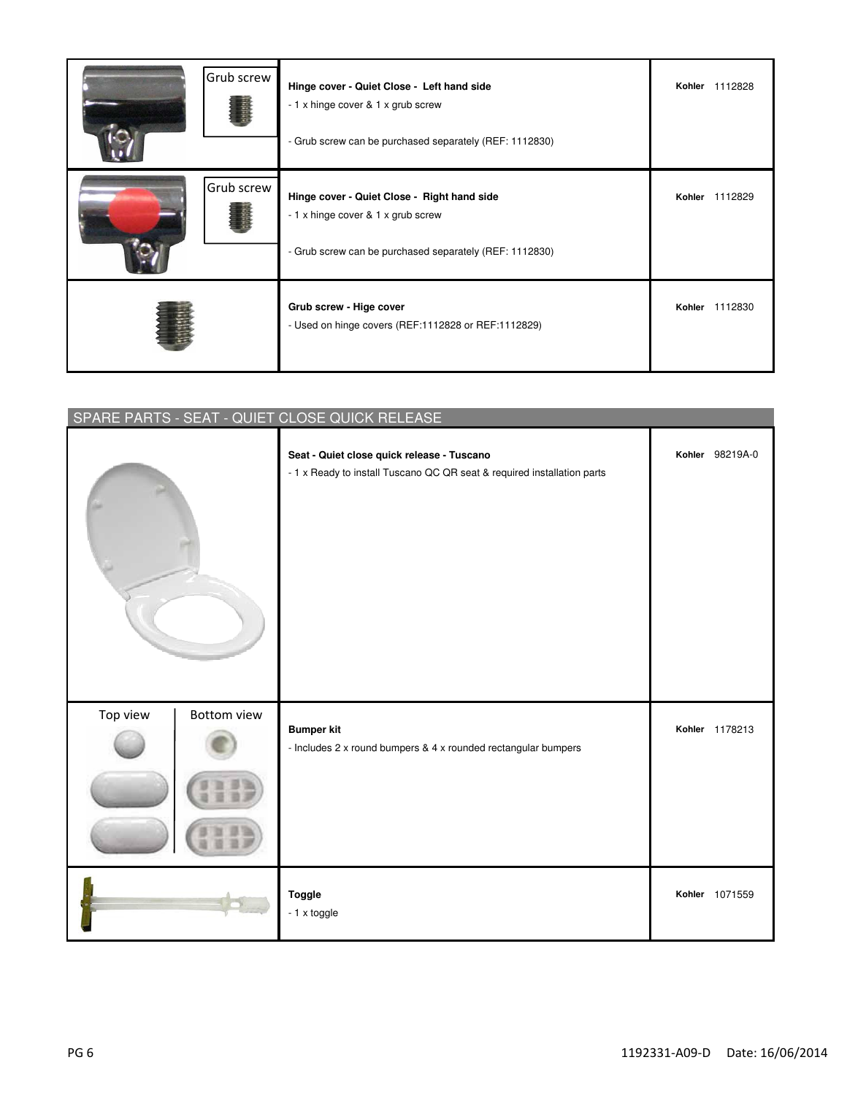| Grub screw | Hinge cover - Quiet Close - Left hand side<br>- 1 x hinge cover & 1 x grub screw<br>- Grub screw can be purchased separately (REF: 1112830)  | Kohler 1112828    |
|------------|----------------------------------------------------------------------------------------------------------------------------------------------|-------------------|
| Grub screw | Hinge cover - Quiet Close - Right hand side<br>- 1 x hinge cover & 1 x grub screw<br>- Grub screw can be purchased separately (REF: 1112830) | Kohler 1112829    |
|            | Grub screw - Hige cover<br>- Used on hinge covers (REF:1112828 or REF:1112829)                                                               | 1112830<br>Kohler |

| SPARE PARTS - SEAT - QUIET CLOSE QUICK RELEASE |                                                                                                                       |                 |  |
|------------------------------------------------|-----------------------------------------------------------------------------------------------------------------------|-----------------|--|
|                                                | Seat - Quiet close quick release - Tuscano<br>- 1 x Ready to install Tuscano QC QR seat & required installation parts | Kohler 98219A-0 |  |
| Top view<br>Bottom view                        | <b>Bumper kit</b><br>- Includes 2 x round bumpers & 4 x rounded rectangular bumpers                                   | Kohler 1178213  |  |
|                                                | <b>Toggle</b><br>- 1 x toggle                                                                                         | Kohler 1071559  |  |